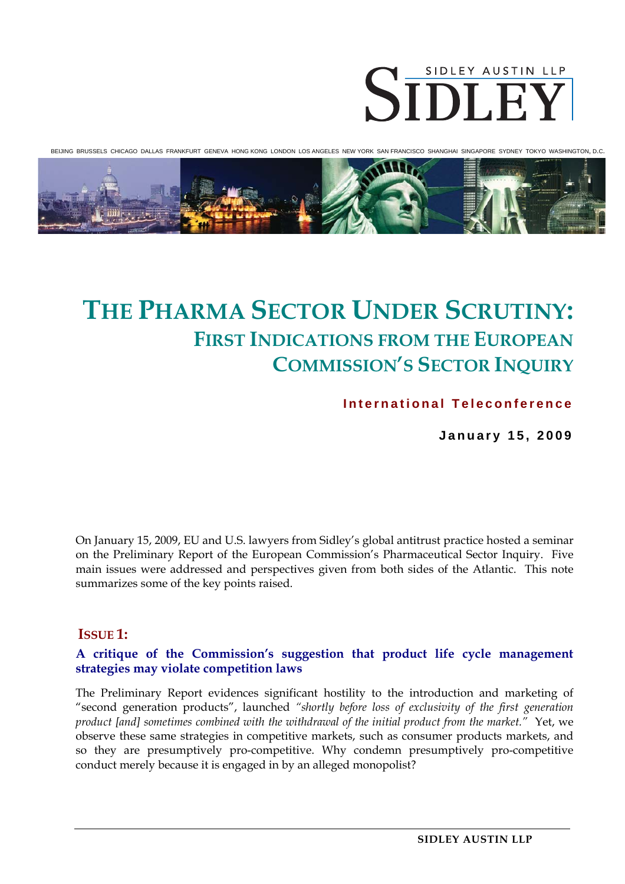

BEIJING BRUSSELS CHICAGO DALLAS FRANKFURT GENEVA HONG KONG LONDON LOS ANGELES NEW YORK SAN FRANCISCO SHANGHAI SINGAPORE SYDNEY TOKYO WASHINGTON, D.C.



# **THE PHARMA SECTOR UNDER SCRUTINY: FIRST INDICATIONS FROM THE EUROPEAN COMMISSION'S SECTOR INQUIRY**

**International Teleconference** 

**January 15, 2009** 

On January 15, 2009, EU and U.S. lawyers from Sidley's global antitrust practice hosted a seminar on the Preliminary Report of the European Commission's Pharmaceutical Sector Inquiry. Five main issues were addressed and perspectives given from both sides of the Atlantic. This note summarizes some of the key points raised.

# **ISSUE 1:**

#### **A critique of the Commission's suggestion that product life cycle management strategies may violate competition laws**

The Preliminary Report evidences significant hostility to the introduction and marketing of "second generation products", launched *"shortly before loss of exclusivity of the first generation product [and] sometimes combined with the withdrawal of the initial product from the market."* Yet, we observe these same strategies in competitive markets, such as consumer products markets, and so they are presumptively pro-competitive. Why condemn presumptively pro-competitive conduct merely because it is engaged in by an alleged monopolist?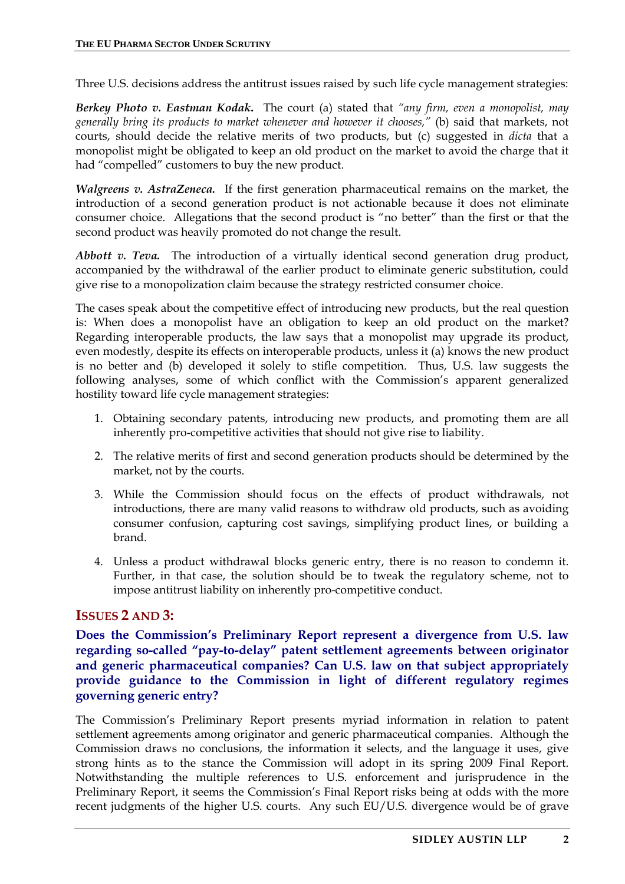Three U.S. decisions address the antitrust issues raised by such life cycle management strategies:

*Berkey Photo v. Eastman Kodak***.** The court (a) stated that *"any firm, even a monopolist, may generally bring its products to market whenever and however it chooses,"* (b) said that markets, not courts, should decide the relative merits of two products, but (c) suggested in *dicta* that a monopolist might be obligated to keep an old product on the market to avoid the charge that it had "compelled" customers to buy the new product.

*Walgreens v. AstraZeneca.* If the first generation pharmaceutical remains on the market, the introduction of a second generation product is not actionable because it does not eliminate consumer choice. Allegations that the second product is "no better" than the first or that the second product was heavily promoted do not change the result.

*Abbott v. Teva.* The introduction of a virtually identical second generation drug product, accompanied by the withdrawal of the earlier product to eliminate generic substitution, could give rise to a monopolization claim because the strategy restricted consumer choice.

The cases speak about the competitive effect of introducing new products, but the real question is: When does a monopolist have an obligation to keep an old product on the market? Regarding interoperable products, the law says that a monopolist may upgrade its product, even modestly, despite its effects on interoperable products, unless it (a) knows the new product is no better and (b) developed it solely to stifle competition. Thus, U.S. law suggests the following analyses, some of which conflict with the Commission's apparent generalized hostility toward life cycle management strategies:

- 1. Obtaining secondary patents, introducing new products, and promoting them are all inherently pro-competitive activities that should not give rise to liability.
- 2. The relative merits of first and second generation products should be determined by the market, not by the courts.
- 3. While the Commission should focus on the effects of product withdrawals, not introductions, there are many valid reasons to withdraw old products, such as avoiding consumer confusion, capturing cost savings, simplifying product lines, or building a brand.
- 4. Unless a product withdrawal blocks generic entry, there is no reason to condemn it. Further, in that case, the solution should be to tweak the regulatory scheme, not to impose antitrust liability on inherently pro-competitive conduct.

# **ISSUES 2 AND 3:**

**Does the Commission's Preliminary Report represent a divergence from U.S. law regarding so-called "pay-to-delay" patent settlement agreements between originator and generic pharmaceutical companies? Can U.S. law on that subject appropriately provide guidance to the Commission in light of different regulatory regimes governing generic entry?** 

The Commission's Preliminary Report presents myriad information in relation to patent settlement agreements among originator and generic pharmaceutical companies. Although the Commission draws no conclusions, the information it selects, and the language it uses, give strong hints as to the stance the Commission will adopt in its spring 2009 Final Report. Notwithstanding the multiple references to U.S. enforcement and jurisprudence in the Preliminary Report, it seems the Commission's Final Report risks being at odds with the more recent judgments of the higher U.S. courts. Any such EU/U.S. divergence would be of grave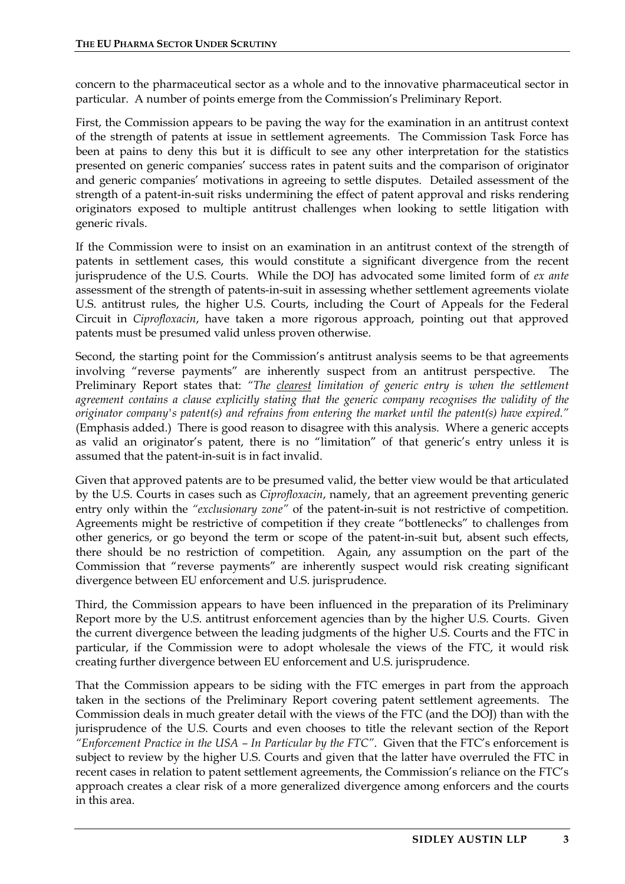concern to the pharmaceutical sector as a whole and to the innovative pharmaceutical sector in particular. A number of points emerge from the Commission's Preliminary Report.

First, the Commission appears to be paving the way for the examination in an antitrust context of the strength of patents at issue in settlement agreements. The Commission Task Force has been at pains to deny this but it is difficult to see any other interpretation for the statistics presented on generic companies' success rates in patent suits and the comparison of originator and generic companies' motivations in agreeing to settle disputes. Detailed assessment of the strength of a patent-in-suit risks undermining the effect of patent approval and risks rendering originators exposed to multiple antitrust challenges when looking to settle litigation with generic rivals.

If the Commission were to insist on an examination in an antitrust context of the strength of patents in settlement cases, this would constitute a significant divergence from the recent jurisprudence of the U.S. Courts. While the DOJ has advocated some limited form of *ex ante*  assessment of the strength of patents-in-suit in assessing whether settlement agreements violate U.S. antitrust rules, the higher U.S. Courts, including the Court of Appeals for the Federal Circuit in *Ciprofloxacin*, have taken a more rigorous approach, pointing out that approved patents must be presumed valid unless proven otherwise.

Second, the starting point for the Commission's antitrust analysis seems to be that agreements involving "reverse payments" are inherently suspect from an antitrust perspective. The Preliminary Report states that: "The clearest limitation of generic entry is when the settlement *agreement contains a clause explicitly stating that the generic company recognises the validity of the originator company's patent(s) and refrains from entering the market until the patent(s) have expired."*  (Emphasis added.) There is good reason to disagree with this analysis. Where a generic accepts as valid an originator's patent, there is no "limitation" of that generic's entry unless it is assumed that the patent-in-suit is in fact invalid.

Given that approved patents are to be presumed valid, the better view would be that articulated by the U.S. Courts in cases such as *Ciprofloxacin*, namely, that an agreement preventing generic entry only within the *"exclusionary zone"* of the patent-in-suit is not restrictive of competition. Agreements might be restrictive of competition if they create "bottlenecks" to challenges from other generics, or go beyond the term or scope of the patent-in-suit but, absent such effects, there should be no restriction of competition. Again, any assumption on the part of the Commission that "reverse payments" are inherently suspect would risk creating significant divergence between EU enforcement and U.S. jurisprudence.

Third, the Commission appears to have been influenced in the preparation of its Preliminary Report more by the U.S. antitrust enforcement agencies than by the higher U.S. Courts. Given the current divergence between the leading judgments of the higher U.S. Courts and the FTC in particular, if the Commission were to adopt wholesale the views of the FTC, it would risk creating further divergence between EU enforcement and U.S. jurisprudence.

That the Commission appears to be siding with the FTC emerges in part from the approach taken in the sections of the Preliminary Report covering patent settlement agreements. The Commission deals in much greater detail with the views of the FTC (and the DOJ) than with the jurisprudence of the U.S. Courts and even chooses to title the relevant section of the Report *"Enforcement Practice in the USA – In Particular by the FTC"*. Given that the FTC's enforcement is subject to review by the higher U.S. Courts and given that the latter have overruled the FTC in recent cases in relation to patent settlement agreements, the Commission's reliance on the FTC's approach creates a clear risk of a more generalized divergence among enforcers and the courts in this area.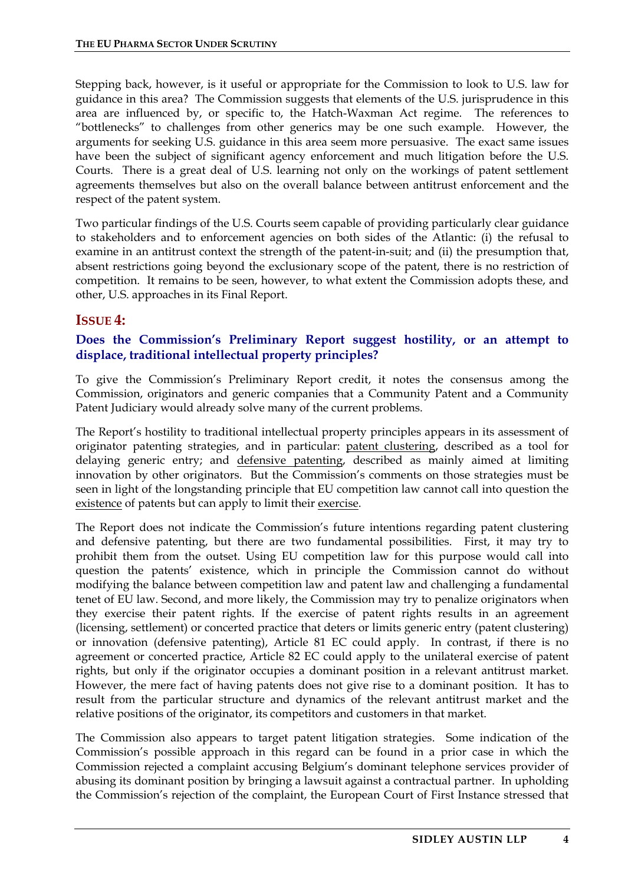Stepping back, however, is it useful or appropriate for the Commission to look to U.S. law for guidance in this area? The Commission suggests that elements of the U.S. jurisprudence in this area are influenced by, or specific to, the Hatch-Waxman Act regime. The references to "bottlenecks" to challenges from other generics may be one such example. However, the arguments for seeking U.S. guidance in this area seem more persuasive. The exact same issues have been the subject of significant agency enforcement and much litigation before the U.S. Courts. There is a great deal of U.S. learning not only on the workings of patent settlement agreements themselves but also on the overall balance between antitrust enforcement and the respect of the patent system.

Two particular findings of the U.S. Courts seem capable of providing particularly clear guidance to stakeholders and to enforcement agencies on both sides of the Atlantic: (i) the refusal to examine in an antitrust context the strength of the patent-in-suit; and (ii) the presumption that, absent restrictions going beyond the exclusionary scope of the patent, there is no restriction of competition. It remains to be seen, however, to what extent the Commission adopts these, and other, U.S. approaches in its Final Report.

# **ISSUE 4:**

## **Does the Commission's Preliminary Report suggest hostility, or an attempt to displace, traditional intellectual property principles?**

To give the Commission's Preliminary Report credit, it notes the consensus among the Commission, originators and generic companies that a Community Patent and a Community Patent Judiciary would already solve many of the current problems.

The Report's hostility to traditional intellectual property principles appears in its assessment of originator patenting strategies, and in particular: patent clustering, described as a tool for delaying generic entry; and defensive patenting, described as mainly aimed at limiting innovation by other originators. But the Commission's comments on those strategies must be seen in light of the longstanding principle that EU competition law cannot call into question the existence of patents but can apply to limit their exercise.

The Report does not indicate the Commission's future intentions regarding patent clustering and defensive patenting, but there are two fundamental possibilities. First, it may try to prohibit them from the outset. Using EU competition law for this purpose would call into question the patents' existence, which in principle the Commission cannot do without modifying the balance between competition law and patent law and challenging a fundamental tenet of EU law. Second, and more likely, the Commission may try to penalize originators when they exercise their patent rights. If the exercise of patent rights results in an agreement (licensing, settlement) or concerted practice that deters or limits generic entry (patent clustering) or innovation (defensive patenting), Article 81 EC could apply. In contrast, if there is no agreement or concerted practice, Article 82 EC could apply to the unilateral exercise of patent rights, but only if the originator occupies a dominant position in a relevant antitrust market. However, the mere fact of having patents does not give rise to a dominant position. It has to result from the particular structure and dynamics of the relevant antitrust market and the relative positions of the originator, its competitors and customers in that market.

The Commission also appears to target patent litigation strategies. Some indication of the Commission's possible approach in this regard can be found in a prior case in which the Commission rejected a complaint accusing Belgium's dominant telephone services provider of abusing its dominant position by bringing a lawsuit against a contractual partner. In upholding the Commission's rejection of the complaint, the European Court of First Instance stressed that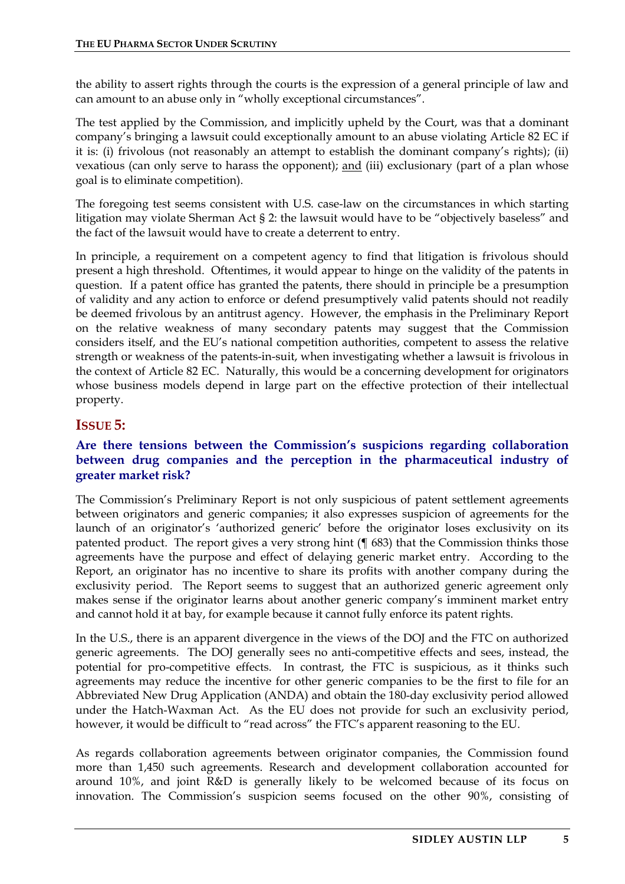the ability to assert rights through the courts is the expression of a general principle of law and can amount to an abuse only in "wholly exceptional circumstances".

The test applied by the Commission, and implicitly upheld by the Court, was that a dominant company's bringing a lawsuit could exceptionally amount to an abuse violating Article 82 EC if it is: (i) frivolous (not reasonably an attempt to establish the dominant company's rights); (ii) vexatious (can only serve to harass the opponent); and (iii) exclusionary (part of a plan whose goal is to eliminate competition).

The foregoing test seems consistent with U.S. case-law on the circumstances in which starting litigation may violate Sherman Act § 2: the lawsuit would have to be "objectively baseless" and the fact of the lawsuit would have to create a deterrent to entry.

In principle, a requirement on a competent agency to find that litigation is frivolous should present a high threshold. Oftentimes, it would appear to hinge on the validity of the patents in question. If a patent office has granted the patents, there should in principle be a presumption of validity and any action to enforce or defend presumptively valid patents should not readily be deemed frivolous by an antitrust agency. However, the emphasis in the Preliminary Report on the relative weakness of many secondary patents may suggest that the Commission considers itself, and the EU's national competition authorities, competent to assess the relative strength or weakness of the patents-in-suit, when investigating whether a lawsuit is frivolous in the context of Article 82 EC. Naturally, this would be a concerning development for originators whose business models depend in large part on the effective protection of their intellectual property.

## **ISSUE 5:**

#### **Are there tensions between the Commission's suspicions regarding collaboration between drug companies and the perception in the pharmaceutical industry of greater market risk?**

The Commission's Preliminary Report is not only suspicious of patent settlement agreements between originators and generic companies; it also expresses suspicion of agreements for the launch of an originator's 'authorized generic' before the originator loses exclusivity on its patented product. The report gives a very strong hint (¶ 683) that the Commission thinks those agreements have the purpose and effect of delaying generic market entry. According to the Report, an originator has no incentive to share its profits with another company during the exclusivity period. The Report seems to suggest that an authorized generic agreement only makes sense if the originator learns about another generic company's imminent market entry and cannot hold it at bay, for example because it cannot fully enforce its patent rights.

In the U.S., there is an apparent divergence in the views of the DOJ and the FTC on authorized generic agreements. The DOJ generally sees no anti-competitive effects and sees, instead, the potential for pro-competitive effects. In contrast, the FTC is suspicious, as it thinks such agreements may reduce the incentive for other generic companies to be the first to file for an Abbreviated New Drug Application (ANDA) and obtain the 180-day exclusivity period allowed under the Hatch-Waxman Act. As the EU does not provide for such an exclusivity period, however, it would be difficult to "read across" the FTC's apparent reasoning to the EU.

As regards collaboration agreements between originator companies, the Commission found more than 1,450 such agreements. Research and development collaboration accounted for around 10%, and joint R&D is generally likely to be welcomed because of its focus on innovation. The Commission's suspicion seems focused on the other 90%, consisting of